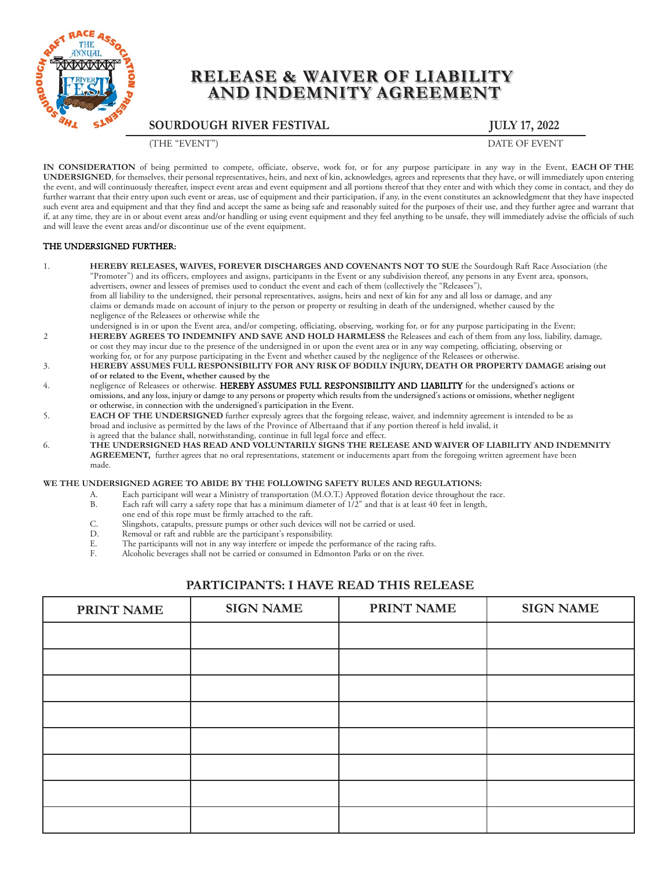

# **RELEASE & WAIVER OF LIABILITY AND INDEMNITY AGREEMENT**

**SOURDOUGH RIVER FESTIVAL JULY 17, 2022**

(THE "EVENT") DATE OF EVENT

**IN CONSIDERATION** of being permitted to compete, officiate, observe, work for, or for any purpose participate in any way in the Event, **EACH OF THE UNDERSIGNED**, for themselves, their personal representatives, heirs, and next of kin, acknowledges, agrees and represents that they have, or will immediately upon entering the event, and will continuously thereafter, inspect event areas and event equipment and all portions thereof that they enter and with which they come in contact, and they do further warrant that their entry upon such event or areas, use of equipment and their participation, if any, in the event constitutes an acknowledgment that they have inspected such event area and equipment and that they find and accept the same as being safe and reasonably suited for the purposes of their use, and they further agree and warrant that if, at any time, they are in or about event areas and/or handling or using event equipment and they feel anything to be unsafe, they will immediately advise the officials of such and will leave the event areas and/or discontinue use of the event equipment.

### THE UNDERSIGNED FURTHER:

- 1. **HEREBY RELEASES, WAIVES, FOREVER DISCHARGES AND COVENANTS NOT TO SUE** the Sourdough Raft Race Association (the "Promoter") and its officers, employees and assigns, participants in the Event or any subdivision thereof, any persons in any Event area, sponsors, advertisers, owner and lessees of premises used to conduct the event and each of them (collectively the "Releasees"), from all liability to the undersigned, their personal representatives, assigns, heirs and next of kin for any and all loss or damage, and any claims or demands made on account of injury to the person or property or resulting in death of the undersigned, whether caused by the negligence of the Releasees or otherwise while the
- undersigned is in or upon the Event area, and/or competing, officiating, observing, working for, or for any purpose participating in the Event; 2 **HEREBY AGREES TO INDEMNIFY AND SAVE AND HOLD HARMLESS** the Releasees and each of them from any loss, liability, damage, or cost they may incur due to the presence of the undersigned in or upon the event area or in any way competing, officiating, observing or working for, or for any purpose participating in the Event and whether caused by the negligence of the Releasees or otherwise.
- 3. **HEREBY ASSUMES FULL RESPONSIBILITY FOR ANY RISK OF BODILY INJURY, DEATH OR PROPERTY DAMAGE arising out of or related to the Event, whether caused by the**
- 4. negligence of Releasees or otherwise. HEREBY ASSUMES FULL RESPONSIBILITY AND LIABILITY for the undersigned's actions or omissions, and any loss, injury or damge to any persons or property which results from the undersigned's actions or omissions, whether negligent or otherwise, in connection with the undersigned's participation in the Event.
- 5. **EACH OF THE UNDERSIGNED** further expressly agrees that the forgoing release, waiver, and indemnity agreement is intended to be as broad and inclusive as permitted by the laws of the Province of Albertaand that if any portion thereof is held invalid, it is agreed that the balance shall, notwithstanding, continue in full legal force and effect.
- 6. **THE UNDERSIGNED HAS READ AND VOLUNTARILY SIGNS THE RELEASE AND WAIVER OF LIABILITY AND INDEMNITY AGREEMENT,** further agrees that no oral representations, statement or inducements apart from the foregoing written agreement have been made.

#### **WE THE UNDERSIGNED AGREE TO ABIDE BY THE FOLLOWING SAFETY RULES AND REGULATIONS:**

- A. Each participant will wear a Ministry of transportation (M.O.T.) Approved flotation device throughout the race.<br>B. Each raft will carry a safety rone that has a minimum diameter of 1/2" and that is at least 40 feet in l
- Each raft will carry a safety rope that has a minimum diameter of  $1/2$ " and that is at least 40 feet in length,
- one end of this rope must be firmly attached to the raft.
- C. Slingshots, catapults, pressure pumps or other such devices will not be carried or used.<br>D. Bemoval or raft and rubble are the participant's responsibility
- D. Removal or raft and rubble are the participant's responsibility.<br>F. The participants will not in any way interfere or impede the p
- E. The participants will not in any way interfere or impede the performance of the racing rafts.<br>F. Alcoholic beverages shall not be carried or consumed in Edmonton Parks or on the river Alcoholic beverages shall not be carried or consumed in Edmonton Parks or on the river.

## **PARTICIPANTS: I HAVE READ THIS RELEASE**

| <b>PRINT NAME</b> | <b>SIGN NAME</b> | <b>PRINT NAME</b> | <b>SIGN NAME</b> |
|-------------------|------------------|-------------------|------------------|
|                   |                  |                   |                  |
|                   |                  |                   |                  |
|                   |                  |                   |                  |
|                   |                  |                   |                  |
|                   |                  |                   |                  |
|                   |                  |                   |                  |
|                   |                  |                   |                  |
|                   |                  |                   |                  |